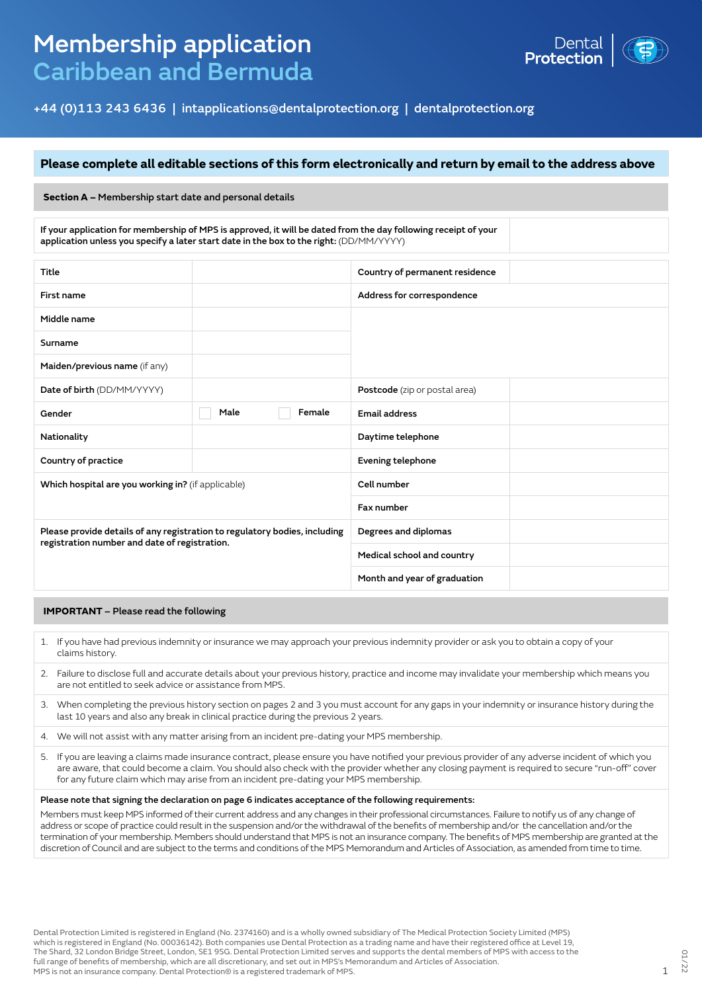# Membership application Caribbean and Bermuda



+44 (0)113 243 6436 | intapplications@dentalprotection.org | dentalprotection.org

### **Please complete all editable sections of this form electronically and return by email to the address above**

#### **Section A –** Membership start date and personal details

If your application for membership of MPS is approved, it will be dated from the day following receipt of your application unless you specify a later start date in the box to the right: (DD/MM/YYYY)

| Title                                                                      |      |                              | Country of permanent residence |  |
|----------------------------------------------------------------------------|------|------------------------------|--------------------------------|--|
| First name                                                                 |      |                              | Address for correspondence     |  |
| Middle name                                                                |      |                              |                                |  |
| Surname                                                                    |      |                              |                                |  |
| Maiden/previous name (if any)                                              |      |                              |                                |  |
| Date of birth (DD/MM/YYYY)                                                 |      |                              | Postcode (zip or postal area)  |  |
| Gender                                                                     | Male | Female                       | <b>Email address</b>           |  |
| Nationality                                                                |      |                              | Daytime telephone              |  |
| Country of practice                                                        |      |                              | Evening telephone              |  |
| Which hospital are you working in? (if applicable)                         |      | Cell number                  |                                |  |
|                                                                            |      | Fax number                   |                                |  |
| Please provide details of any registration to regulatory bodies, including |      | Degrees and diplomas         |                                |  |
| registration number and date of registration.                              |      |                              | Medical school and country     |  |
|                                                                            |      | Month and year of graduation |                                |  |

#### **IMPORTANT** – Please read the following

- 1. If you have had previous indemnity or insurance we may approach your previous indemnity provider or ask you to obtain a copy of your claims history.
- 2. Failure to disclose full and accurate details about your previous history, practice and income may invalidate your membership which means you are not entitled to seek advice or assistance from MPS.
- 3. When completing the previous history section on pages 2 and 3 you must account for any gaps in your indemnity or insurance history during the last 10 years and also any break in clinical practice during the previous 2 years.
- 4. We will not assist with any matter arising from an incident pre-dating your MPS membership.
- 5. If you are leaving a claims made insurance contract, please ensure you have notified your previous provider of any adverse incident of which you are aware, that could become a claim. You should also check with the provider whether any closing payment is required to secure "run-off" cover for any future claim which may arise from an incident pre-dating your MPS membership.

#### Please note that signing the declaration on page 6 indicates acceptance of the following requirements:

Members must keep MPS informed of their current address and any changes in their professional circumstances. Failure to notify us of any change of address or scope of practice could result in the suspension and/or the withdrawal of the benefits of membership and/or the cancellation and/or the termination of your membership. Members should understand that MPS is not an insurance company. The benefits of MPS membership are granted at the discretion of Council and are subject to the terms and conditions of the MPS Memorandum and Articles of Association, as amended from time to time.

Dental Protection Limited is registered in England (No. 2374160) and is a wholly owned subsidiary of The Medical Protection Society Limited (MPS) which is registered in England (No. 00036142). Both companies use Dental Protection as a trading name and have their registered office at Level 19, The Shard, 32 London Bridge Street, London, SE1 9SG. Dental Protection Limited serves and supports the dental members of MPS with access to the full range of benefits of membership, which are all discretionary, and set out in MPS's Memorandum and Articles of Association. MPS is not an insurance company. Dental Protection® is a registered trademark of MPS. 1998. The second of MPS is not an insurance company. Dental Protection® is a registered trademark of MPS.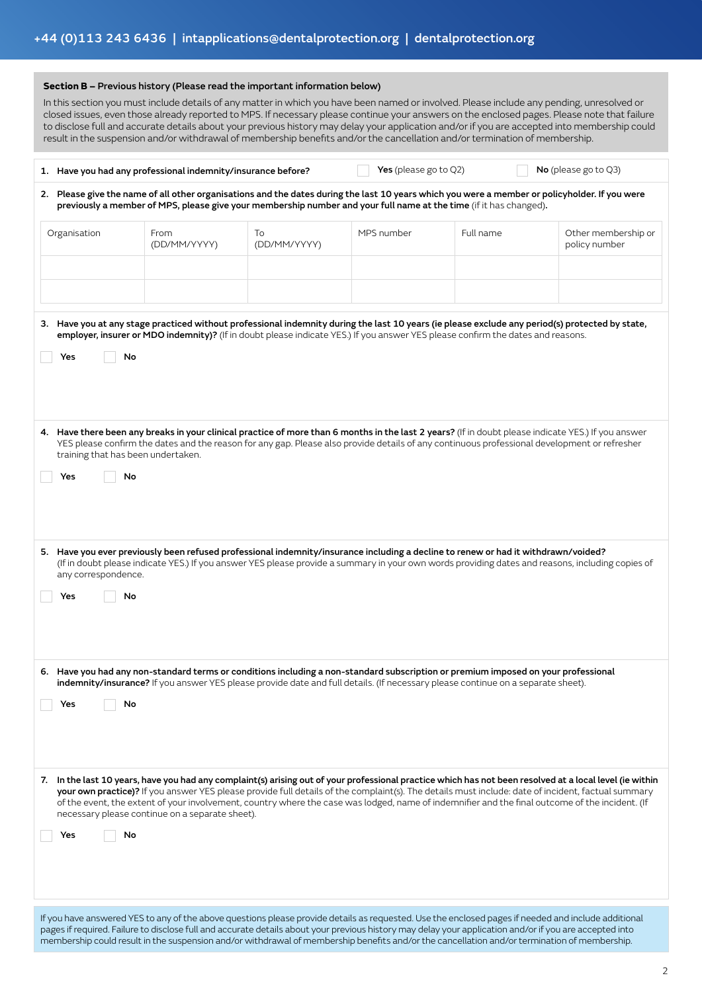| Section B - Previous history (Please read the important information below)<br>In this section you must include details of any matter in which you have been named or involved. Please include any pending, unresolved or<br>closed issues, even those already reported to MPS. If necessary please continue your answers on the enclosed pages. Please note that failure<br>to disclose full and accurate details about your previous history may delay your application and/or if you are accepted into membership could<br>result in the suspension and/or withdrawal of membership benefits and/or the cancellation and/or termination of membership. |                                                                                                                                                                                                                                                                                                                                                                                                                                                                                                                                                                                                                                             |                    |                          |           |                                      |  |
|----------------------------------------------------------------------------------------------------------------------------------------------------------------------------------------------------------------------------------------------------------------------------------------------------------------------------------------------------------------------------------------------------------------------------------------------------------------------------------------------------------------------------------------------------------------------------------------------------------------------------------------------------------|---------------------------------------------------------------------------------------------------------------------------------------------------------------------------------------------------------------------------------------------------------------------------------------------------------------------------------------------------------------------------------------------------------------------------------------------------------------------------------------------------------------------------------------------------------------------------------------------------------------------------------------------|--------------------|--------------------------|-----------|--------------------------------------|--|
|                                                                                                                                                                                                                                                                                                                                                                                                                                                                                                                                                                                                                                                          | 1. Have you had any professional indemnity/insurance before?                                                                                                                                                                                                                                                                                                                                                                                                                                                                                                                                                                                |                    | Yes (please go to $Q2$ ) |           | No (please go to $Q3$ )              |  |
|                                                                                                                                                                                                                                                                                                                                                                                                                                                                                                                                                                                                                                                          | 2. Please give the name of all other organisations and the dates during the last 10 years which you were a member or policyholder. If you were<br>previously a member of MPS, please give your membership number and your full name at the time (if it has changed).                                                                                                                                                                                                                                                                                                                                                                        |                    |                          |           |                                      |  |
| Organisation                                                                                                                                                                                                                                                                                                                                                                                                                                                                                                                                                                                                                                             | From<br>(DD/MM/YYYY)                                                                                                                                                                                                                                                                                                                                                                                                                                                                                                                                                                                                                        | To<br>(DD/MM/YYYY) | MPS number               | Full name | Other membership or<br>policy number |  |
| Yes<br>Yes                                                                                                                                                                                                                                                                                                                                                                                                                                                                                                                                                                                                                                               | 3. Have you at any stage practiced without professional indemnity during the last 10 years (ie please exclude any period(s) protected by state,<br>employer, insurer or MDO indemnity)? (If in doubt please indicate YES.) If you answer YES please confirm the dates and reasons.<br>No<br>4. Have there been any breaks in your clinical practice of more than 6 months in the last 2 years? (If in doubt please indicate YES.) If you answer<br>YES please confirm the dates and the reason for any gap. Please also provide details of any continuous professional development or refresher<br>training that has been undertaken.<br>No |                    |                          |           |                                      |  |
| any correspondence.<br>Yes                                                                                                                                                                                                                                                                                                                                                                                                                                                                                                                                                                                                                               | 5. Have you ever previously been refused professional indemnity/insurance including a decline to renew or had it withdrawn/voided?<br>(If in doubt please indicate YES.) If you answer YES please provide a summary in your own words providing dates and reasons, including copies of<br>No                                                                                                                                                                                                                                                                                                                                                |                    |                          |           |                                      |  |
| Yes                                                                                                                                                                                                                                                                                                                                                                                                                                                                                                                                                                                                                                                      | 6. Have you had any non-standard terms or conditions including a non-standard subscription or premium imposed on your professional<br>indemnity/insurance? If you answer YES please provide date and full details. (If necessary please continue on a separate sheet).<br>No                                                                                                                                                                                                                                                                                                                                                                |                    |                          |           |                                      |  |
| Yes                                                                                                                                                                                                                                                                                                                                                                                                                                                                                                                                                                                                                                                      | 7. In the last 10 years, have you had any complaint(s) arising out of your professional practice which has not been resolved at a local level (ie within<br>your own practice)? If you answer YES please provide full details of the complaint(s). The details must include: date of incident, factual summary<br>of the event, the extent of your involvement, country where the case was lodged, name of indemnifier and the final outcome of the incident. (If<br>necessary please continue on a separate sheet).<br>No                                                                                                                  |                    |                          |           |                                      |  |

If you have answered YES to any of the above questions please provide details as requested. Use the enclosed pages if needed and include additional pages if required. Failure to disclose full and accurate details about your previous history may delay your application and/or if you are accepted into membership could result in the suspension and/or withdrawal of membership benefits and/or the cancellation and/or termination of membership.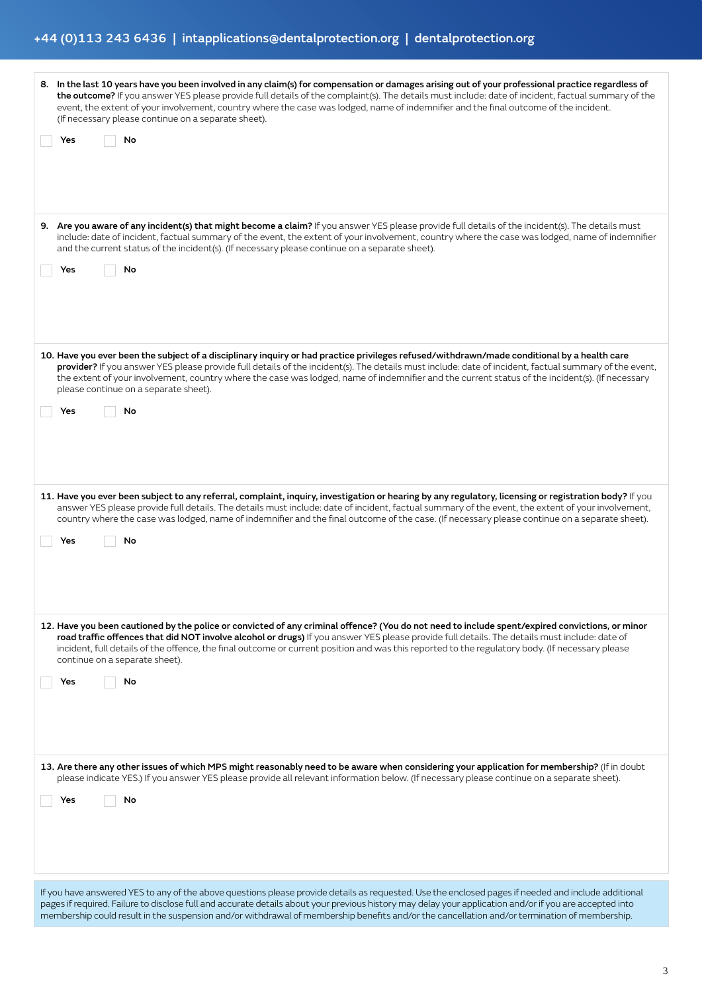## +44 (0)113 243 6436 | intapplications@dentalprotection.org | dentalprotection.org

| 8. In the last 10 years have you been involved in any claim(s) for compensation or damages arising out of your professional practice regardless of<br>the outcome? If you answer YES please provide full details of the complaint(s). The details must include: date of incident, factual summary of the<br>event, the extent of your involvement, country where the case was lodged, name of indemnifier and the final outcome of the incident.<br>(If necessary please continue on a separate sheet).       |
|---------------------------------------------------------------------------------------------------------------------------------------------------------------------------------------------------------------------------------------------------------------------------------------------------------------------------------------------------------------------------------------------------------------------------------------------------------------------------------------------------------------|
| No<br>Yes                                                                                                                                                                                                                                                                                                                                                                                                                                                                                                     |
| 9. Are you aware of any incident(s) that might become a claim? If you answer YES please provide full details of the incident(s). The details must<br>include: date of incident, factual summary of the event, the extent of your involvement, country where the case was lodged, name of indemnifier<br>and the current status of the incident(s). (If necessary please continue on a separate sheet).<br>No<br>Yes                                                                                           |
| 10. Have you ever been the subject of a disciplinary inquiry or had practice privileges refused/withdrawn/made conditional by a health care<br>provider? If you answer YES please provide full details of the incident(s). The details must include: date of incident, factual summary of the event,<br>the extent of your involvement, country where the case was lodged, name of indemnifier and the current status of the incident(s). (If necessary<br>please continue on a separate sheet).<br>No<br>Yes |
| 11. Have you ever been subject to any referral, complaint, inquiry, investigation or hearing by any regulatory, licensing or registration body? If you<br>answer YES please provide full details. The details must include: date of incident, factual summary of the event, the extent of your involvement,<br>country where the case was lodged, name of indemnifier and the final outcome of the case. (If necessary please continue on a separate sheet).<br>No<br>Yes                                     |
| 12. Have you been cautioned by the police or convicted of any criminal offence? (You do not need to include spent/expired convictions, or minor<br>road traffic offences that did NOT involve alcohol or drugs) If you answer YES please provide full details. The details must include: date of<br>incident, full details of the offence, the final outcome or current position and was this reported to the regulatory body. (If necessary please<br>continue on a separate sheet).<br>Yes<br>No            |
| 13. Are there any other issues of which MPS might reasonably need to be aware when considering your application for membership? (If in doubt<br>please indicate YES.) If you answer YES please provide all relevant information below. (If necessary please continue on a separate sheet).<br>No<br>Yes                                                                                                                                                                                                       |
| If you have answered YES to any of the above questions please provide details as requested. Use the enclosed pages if needed and include additional<br>pages if required. Failure to disclose full and accurate details about your previous history may delay your application and/or if you are accepted into<br>membership could result in the suspension and/or withdrawal of membership benefits and/or the cancellation and/or termination of membership.                                                |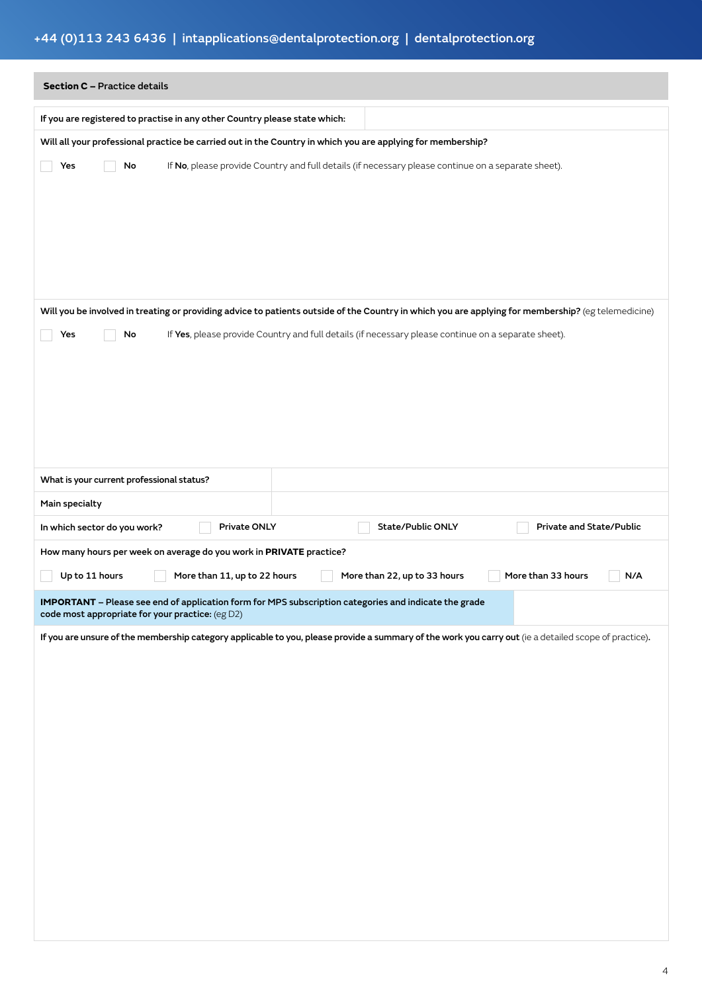# +44 (0)113 243 6436 | intapplications@dentalprotection.org | dentalprotection.org

| <b>Section C - Practice details</b>                                                                                                                       |  |  |  |  |
|-----------------------------------------------------------------------------------------------------------------------------------------------------------|--|--|--|--|
| If you are registered to practise in any other Country please state which:                                                                                |  |  |  |  |
| Will all your professional practice be carried out in the Country in which you are applying for membership?                                               |  |  |  |  |
| If No, please provide Country and full details (if necessary please continue on a separate sheet).<br>Yes<br>No                                           |  |  |  |  |
|                                                                                                                                                           |  |  |  |  |
|                                                                                                                                                           |  |  |  |  |
|                                                                                                                                                           |  |  |  |  |
|                                                                                                                                                           |  |  |  |  |
|                                                                                                                                                           |  |  |  |  |
| Will you be involved in treating or providing advice to patients outside of the Country in which you are applying for membership? (eg telemedicine)       |  |  |  |  |
| If Yes, please provide Country and full details (if necessary please continue on a separate sheet).<br>No<br>Yes                                          |  |  |  |  |
|                                                                                                                                                           |  |  |  |  |
|                                                                                                                                                           |  |  |  |  |
|                                                                                                                                                           |  |  |  |  |
|                                                                                                                                                           |  |  |  |  |
| What is your current professional status?                                                                                                                 |  |  |  |  |
| Main specialty                                                                                                                                            |  |  |  |  |
| Private ONLY<br>State/Public ONLY<br>Private and State/Public<br>In which sector do you work?                                                             |  |  |  |  |
| How many hours per week on average do you work in PRIVATE practice?                                                                                       |  |  |  |  |
| Up to 11 hours<br>More than 11, up to 22 hours<br>More than 22, up to 33 hours<br>More than 33 hours<br>N/A                                               |  |  |  |  |
| IMPORTANT - Please see end of application form for MPS subscription categories and indicate the grade<br>code most appropriate for your practice: (eg D2) |  |  |  |  |
| If you are unsure of the membership category applicable to you, please provide a summary of the work you carry out (ie a detailed scope of practice).     |  |  |  |  |
|                                                                                                                                                           |  |  |  |  |
|                                                                                                                                                           |  |  |  |  |
|                                                                                                                                                           |  |  |  |  |
|                                                                                                                                                           |  |  |  |  |
|                                                                                                                                                           |  |  |  |  |
|                                                                                                                                                           |  |  |  |  |
|                                                                                                                                                           |  |  |  |  |
|                                                                                                                                                           |  |  |  |  |
|                                                                                                                                                           |  |  |  |  |
|                                                                                                                                                           |  |  |  |  |
|                                                                                                                                                           |  |  |  |  |
|                                                                                                                                                           |  |  |  |  |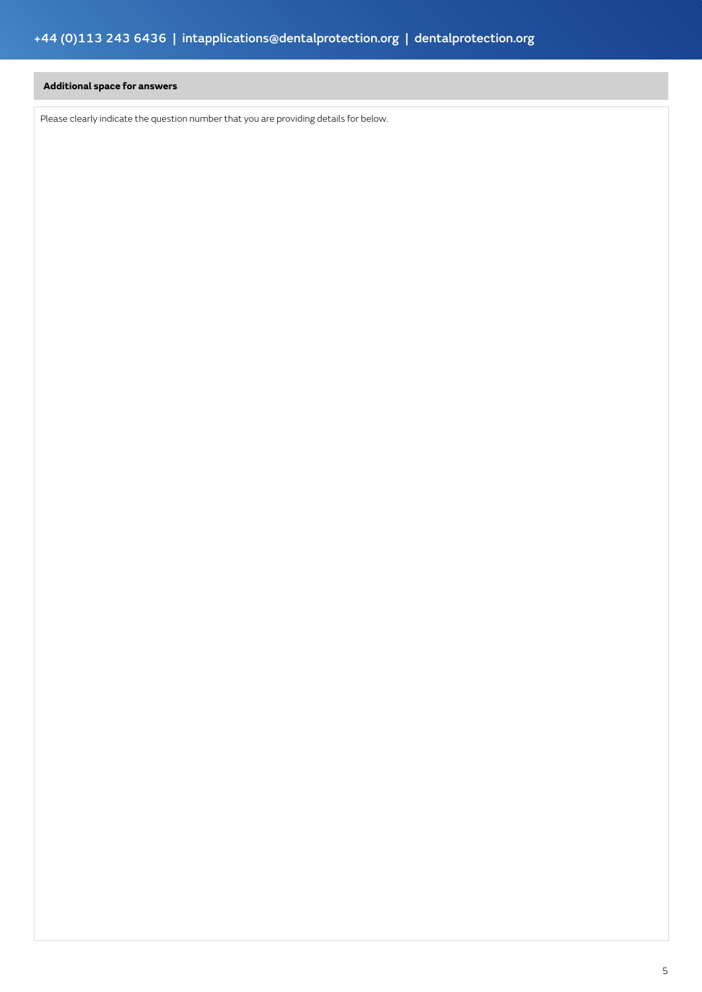### **Additional space for answers**

Please clearly indicate the question number that you are providing details for below.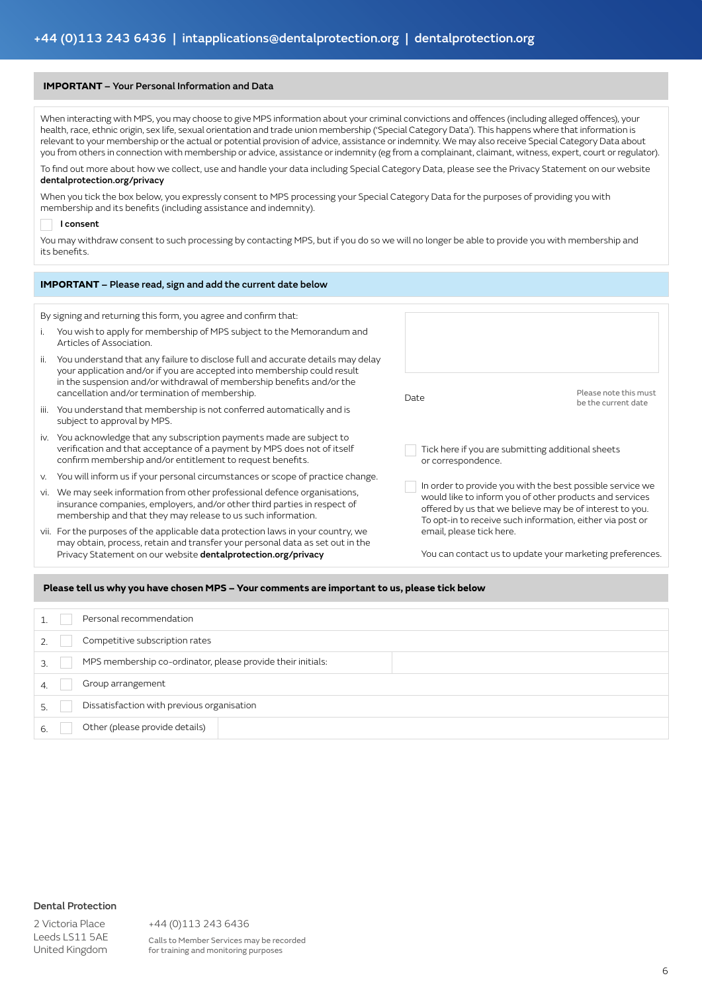#### **IMPORTANT** – Your Personal Information and Data

When interacting with MPS, you may choose to give MPS information about your criminal convictions and offences (including alleged offences), your health, race, ethnic origin, sex life, sexual orientation and trade union membership ('Special Category Data'). This happens where that information is relevant to your membership or the actual or potential provision of advice, assistance or indemnity. We may also receive Special Category Data about you from others in connection with membership or advice, assistance or indemnity (eg from a complainant, claimant, witness, expert, court or regulator).

To find out more about how we collect, use and handle your data including Special Category Data, please see the Privacy Statement on our website dentalprotection.org/privacy

#### When you tick the box below, you expressly consent to MPS processing your Special Category Data for the purposes of providing you with membership and its benefits (including assistance and indemnity).

#### I consent

You may withdraw consent to such processing by contacting MPS, but if you do so we will no longer be able to provide you with membership and its benefits.

| <b>IMPORTANT</b> – Please read, sign and add the current date below |
|---------------------------------------------------------------------|
|                                                                     |

By signing and returning this form, you agree and confirm that:

- i. You wish to apply for membership of MPS subject to the Memorandum and Articles of Association.
- ii. You understand that any failure to disclose full and accurate details may delay your application and/or if you are accepted into membership could result in the suspension and/or withdrawal of membership benefits and/or the cancellation and/or termination of membership.
- iii. You understand that membership is not conferred automatically and is subject to approval by MPS.
- iv. You acknowledge that any subscription payments made are subject to verification and that acceptance of a payment by MPS does not of itself confirm membership and/or entitlement to request benefits.
- v. You will inform us if your personal circumstances or scope of practice change.
- vi. We may seek information from other professional defence organisations, insurance companies, employers, and/or other third parties in respect of membership and that they may release to us such information.
- vii. For the purposes of the applicable data protection laws in your country, we may obtain, process, retain and transfer your personal data as set out in the Privacy Statement on our website dentalprotection.org/privacy

| Date                                                                                                                                                                                                                                                                      | Please note this must<br>be the current date |
|---------------------------------------------------------------------------------------------------------------------------------------------------------------------------------------------------------------------------------------------------------------------------|----------------------------------------------|
| Tick here if you are submitting additional sheets<br>or correspondence.                                                                                                                                                                                                   |                                              |
| In order to provide you with the best possible service we<br>would like to inform you of other products and services<br>offered by us that we believe may be of interest to you.<br>To opt-in to receive such information, either via post or<br>email, please tick here. |                                              |
| You can contact us to update your marketing preferences.                                                                                                                                                                                                                  |                                              |

#### **Please tell us why you have chosen MPS – Your comments are important to us, please tick below**

|   | Personal recommendation                                     |
|---|-------------------------------------------------------------|
|   | Competitive subscription rates                              |
| 3 | MPS membership co-ordinator, please provide their initials: |
|   | Group arrangement                                           |
|   | Dissatisfaction with previous organisation                  |
|   | Other (please provide details)                              |

#### Dental Protection

2 Victoria Place Leeds LS11 5AE United Kingdom +44 (0)113 243 6436

Calls to Member Services may be recorded for training and monitoring purposes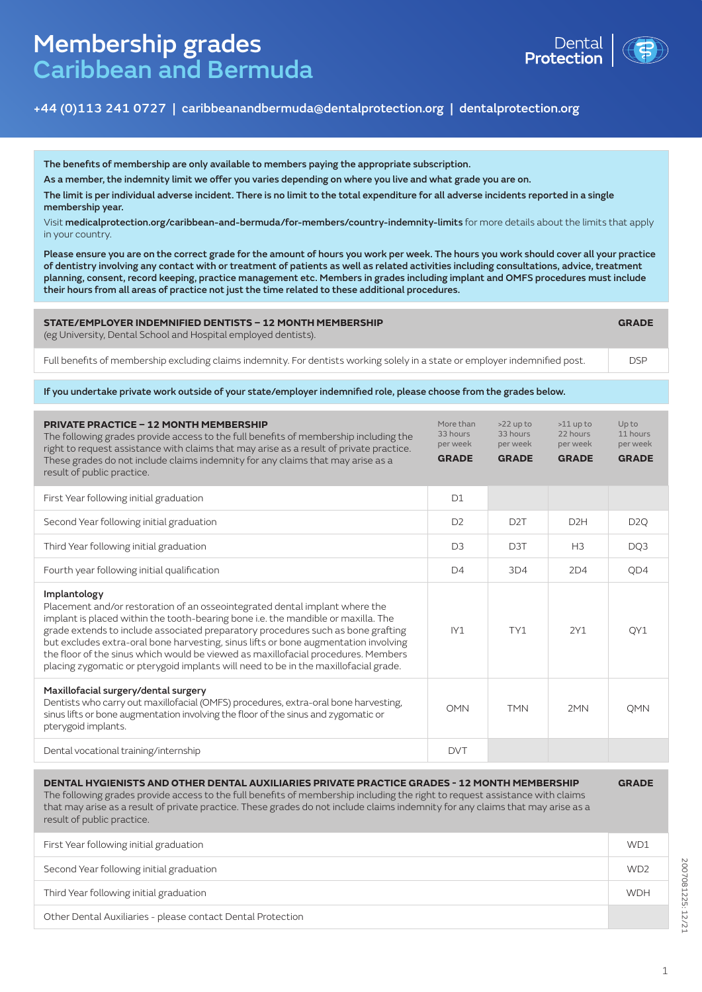# Membership grades Caribbean and Bermuda



## +44 (0)113 241 0727 | caribbeanandbermuda@dentalprotection.org | dentalprotection.org

The benefits of membership are only available to members paying the appropriate subscription.

As a member, the indemnity limit we offer you varies depending on where you live and what grade you are on.

The limit is per individual adverse incident. There is no limit to the total expenditure for all adverse incidents reported in a single to US\$3 million per individual adverse incident. There is no limit to the total expenditure for all adverse incidents reported in a single state  $\alpha$ membership year.

Visit **medicalprotection.org/caribbean-and-bermuda/for-members/country-indemnity-limits** for more details about the limits that apply in your country.

Please ensure you are on the correct grade for the amount of hours you work per week. The hours you work should cover all your practice of dentistry involving any contact with or treatment of patients as well as related activities including consultations, advice, treatment planning, consent, record keeping, practice management etc. Members in grades including implant and OMFS procedures must include their hours from all areas of practice not just the time related to these additional procedures.

| STATE/EMPLOYER INDEMNIFIED DENTISTS - 12 MONTH MEMBERSHIP<br>(eg University, Dental School and Hospital employed dentists).  |            |
|------------------------------------------------------------------------------------------------------------------------------|------------|
| Full benefits of membership excluding claims indemnity. For dentists working solely in a state or employer indemnified post. | <b>DSP</b> |

If you undertake private work outside of your state/employer indemnified role, please choose from the grades below.

| <b>PRIVATE PRACTICE - 12 MONTH MEMBERSHIP</b><br>The following grades provide access to the full benefits of membership including the<br>right to request assistance with claims that may arise as a result of private practice.<br>These grades do not include claims indemnity for any claims that may arise as a<br>result of public practice.                                                                                                                                                                                       | More than<br>33 hours<br>per week<br><b>GRADE</b> | $>22$ up to<br>33 hours<br>per week<br><b>GRADE</b> | $>11$ up to<br>22 hours<br>per week<br><b>GRADE</b> | Up to<br>11 hours<br>per week<br><b>GRADE</b> |
|-----------------------------------------------------------------------------------------------------------------------------------------------------------------------------------------------------------------------------------------------------------------------------------------------------------------------------------------------------------------------------------------------------------------------------------------------------------------------------------------------------------------------------------------|---------------------------------------------------|-----------------------------------------------------|-----------------------------------------------------|-----------------------------------------------|
| First Year following initial graduation                                                                                                                                                                                                                                                                                                                                                                                                                                                                                                 | D1                                                |                                                     |                                                     |                                               |
| Second Year following initial graduation                                                                                                                                                                                                                                                                                                                                                                                                                                                                                                | D <sub>2</sub>                                    | D <sub>2</sub> T                                    | D <sub>2</sub> H                                    | D <sub>2</sub> Q                              |
| Third Year following initial graduation                                                                                                                                                                                                                                                                                                                                                                                                                                                                                                 | D <sub>3</sub>                                    | D <sub>3</sub> T                                    | H <sub>3</sub>                                      | DQ3                                           |
| Fourth year following initial qualification                                                                                                                                                                                                                                                                                                                                                                                                                                                                                             | D <sub>4</sub>                                    | 3D4                                                 | 2D4                                                 | QD4                                           |
| Implantology<br>Placement and/or restoration of an osseointegrated dental implant where the<br>implant is placed within the tooth-bearing bone i.e. the mandible or maxilla. The<br>grade extends to include associated preparatory procedures such as bone grafting<br>but excludes extra-oral bone harvesting, sinus lifts or bone augmentation involving<br>the floor of the sinus which would be viewed as maxillofacial procedures. Members<br>placing zygomatic or pterygoid implants will need to be in the maxillofacial grade. | IV1                                               | TY1                                                 | 2Y1                                                 | QY1                                           |
| Maxillofacial surgery/dental surgery<br>Dentists who carry out maxillofacial (OMFS) procedures, extra-oral bone harvesting,<br>sinus lifts or bone augmentation involving the floor of the sinus and zygomatic or<br>pterygoid implants.                                                                                                                                                                                                                                                                                                | OMN                                               | <b>TMN</b>                                          | 2MN                                                 | <b>OMN</b>                                    |
| Dental vocational training/internship                                                                                                                                                                                                                                                                                                                                                                                                                                                                                                   | <b>DVT</b>                                        |                                                     |                                                     |                                               |
| <b>DENTAL HYGIENISTS AND OTHER DENTAL AUXILIARIES PRIVATE PRACTICE GRADES - 12 MONTH MEMBERSHIP</b><br>The following grades provide access to the full benefits of membership including the right to request assistance with claims<br>that may arise as a result of private practice. These grades do not include claims indemnity for any claims that may arise as a<br>result of public practice.                                                                                                                                    |                                                   |                                                     |                                                     | <b>GRADE</b>                                  |
| First Year following initial graduation                                                                                                                                                                                                                                                                                                                                                                                                                                                                                                 |                                                   |                                                     |                                                     | WD1                                           |
| Second Year following initial graduation                                                                                                                                                                                                                                                                                                                                                                                                                                                                                                |                                                   |                                                     |                                                     | WD <sub>2</sub>                               |
| Third Year following initial graduation                                                                                                                                                                                                                                                                                                                                                                                                                                                                                                 |                                                   |                                                     |                                                     | <b>WDH</b>                                    |

Other Dental Auxiliaries - please contact Dental Protection